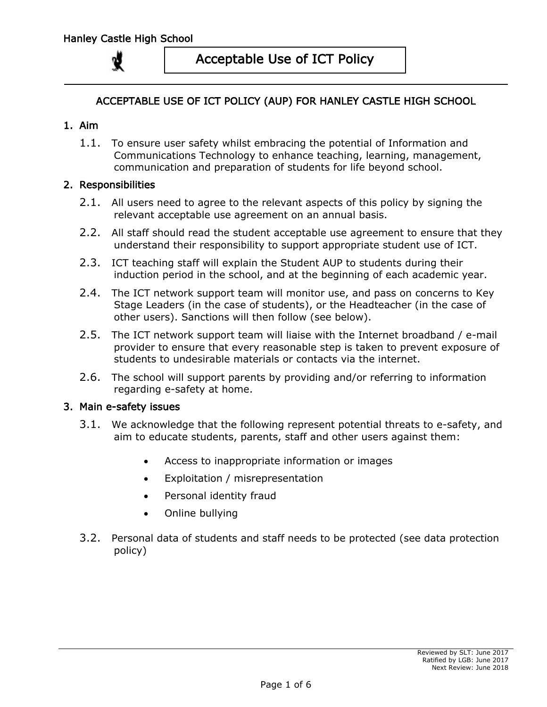

## ACCEPTABLE USE OF ICT POLICY (AUP) FOR HANLEY CASTLE HIGH SCHOOL

### 1. Aim

1.1. To ensure user safety whilst embracing the potential of Information and Communications Technology to enhance teaching, learning, management, communication and preparation of students for life beyond school.

### 2. Responsibilities

- 2.1. All users need to agree to the relevant aspects of this policy by signing the relevant acceptable use agreement on an annual basis.
- 2.2. All staff should read the student acceptable use agreement to ensure that they understand their responsibility to support appropriate student use of ICT.
- 2.3. ICT teaching staff will explain the Student AUP to students during their induction period in the school, and at the beginning of each academic year.
- 2.4. The ICT network support team will monitor use, and pass on concerns to Key Stage Leaders (in the case of students), or the Headteacher (in the case of other users). Sanctions will then follow (see below).
- 2.5. The ICT network support team will liaise with the Internet broadband / e-mail provider to ensure that every reasonable step is taken to prevent exposure of students to undesirable materials or contacts via the internet.
- 2.6. The school will support parents by providing and/or referring to information regarding e-safety at home.

### 3. Main e-safety issues

- 3.1. We acknowledge that the following represent potential threats to e-safety, and aim to educate students, parents, staff and other users against them:
	- Access to inappropriate information or images
	- Exploitation / misrepresentation
	- Personal identity fraud
	- Online bullying
- 3.2. Personal data of students and staff needs to be protected (see data protection policy)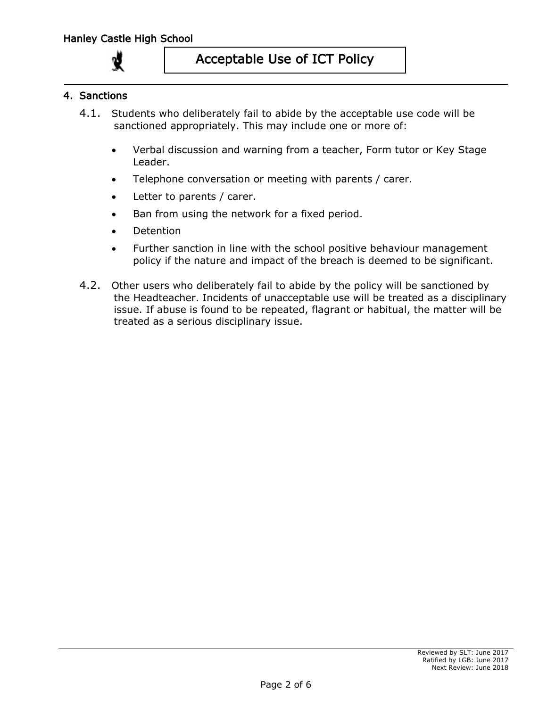### 4. Sanctions

- 4.1. Students who deliberately fail to abide by the acceptable use code will be sanctioned appropriately. This may include one or more of:
	- Verbal discussion and warning from a teacher, Form tutor or Key Stage Leader.
	- Telephone conversation or meeting with parents / carer.
	- Letter to parents / carer.
	- Ban from using the network for a fixed period.
	- Detention
	- Further sanction in line with the school positive behaviour management policy if the nature and impact of the breach is deemed to be significant.
- 4.2. Other users who deliberately fail to abide by the policy will be sanctioned by the Headteacher. Incidents of unacceptable use will be treated as a disciplinary issue. If abuse is found to be repeated, flagrant or habitual, the matter will be treated as a serious disciplinary issue.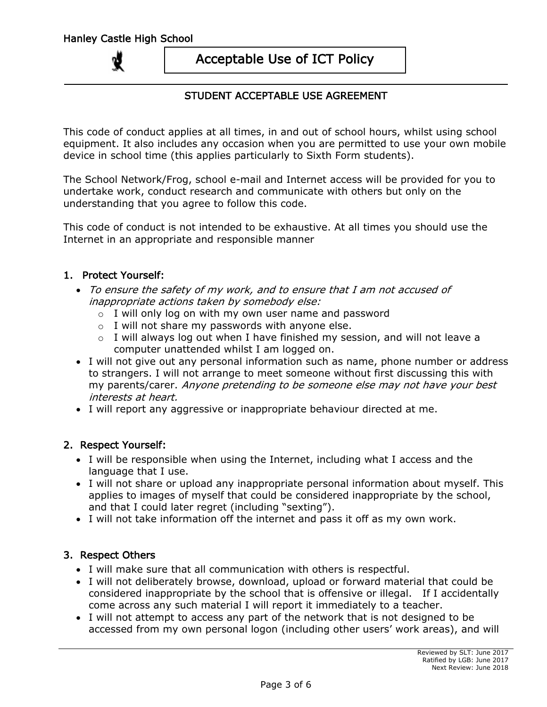## STUDENT ACCEPTABLE USE AGREEMENT

This code of conduct applies at all times, in and out of school hours, whilst using school equipment. It also includes any occasion when you are permitted to use your own mobile device in school time (this applies particularly to Sixth Form students).

The School Network/Frog, school e-mail and Internet access will be provided for you to undertake work, conduct research and communicate with others but only on the understanding that you agree to follow this code.

This code of conduct is not intended to be exhaustive. At all times you should use the Internet in an appropriate and responsible manner

### 1. Protect Yourself:

- To ensure the safety of my work, and to ensure that I am not accused of inappropriate actions taken by somebody else:
	- $\circ$  I will only log on with my own user name and password
	- $\circ$  I will not share my passwords with anyone else.
	- $\circ$  I will always log out when I have finished my session, and will not leave a computer unattended whilst I am logged on.
- I will not give out any personal information such as name, phone number or address to strangers. I will not arrange to meet someone without first discussing this with my parents/carer. Anyone pretending to be someone else may not have your best interests at heart.
- I will report any aggressive or inappropriate behaviour directed at me.

### 2. Respect Yourself:

- I will be responsible when using the Internet, including what I access and the language that I use.
- I will not share or upload any inappropriate personal information about myself. This applies to images of myself that could be considered inappropriate by the school, and that I could later regret (including "sexting").
- I will not take information off the internet and pass it off as my own work.

### 3. Respect Others

- I will make sure that all communication with others is respectful.
- I will not deliberately browse, download, upload or forward material that could be considered inappropriate by the school that is offensive or illegal. If I accidentally come across any such material I will report it immediately to a teacher.
- I will not attempt to access any part of the network that is not designed to be accessed from my own personal logon (including other users' work areas), and will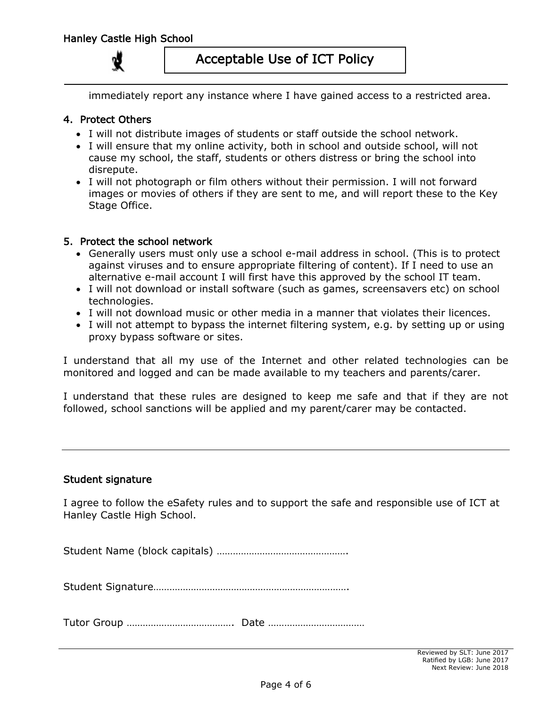immediately report any instance where I have gained access to a restricted area.

### 4. Protect Others

- I will not distribute images of students or staff outside the school network.
- I will ensure that my online activity, both in school and outside school, will not cause my school, the staff, students or others distress or bring the school into disrepute.
- I will not photograph or film others without their permission. I will not forward images or movies of others if they are sent to me, and will report these to the Key Stage Office.

#### 5. Protect the school network

- Generally users must only use a school e-mail address in school. (This is to protect against viruses and to ensure appropriate filtering of content). If I need to use an alternative e-mail account I will first have this approved by the school IT team.
- I will not download or install software (such as games, screensavers etc) on school technologies.
- I will not download music or other media in a manner that violates their licences.
- I will not attempt to bypass the internet filtering system, e.g. by setting up or using proxy bypass software or sites.

I understand that all my use of the Internet and other related technologies can be monitored and logged and can be made available to my teachers and parents/carer.

I understand that these rules are designed to keep me safe and that if they are not followed, school sanctions will be applied and my parent/carer may be contacted.

#### Student signature

I agree to follow the eSafety rules and to support the safe and responsible use of ICT at Hanley Castle High School.

Student Name (block capitals) ………………………………………….

Student Signature……………………………………………………………….

Tutor Group …………………………………. Date ………………………………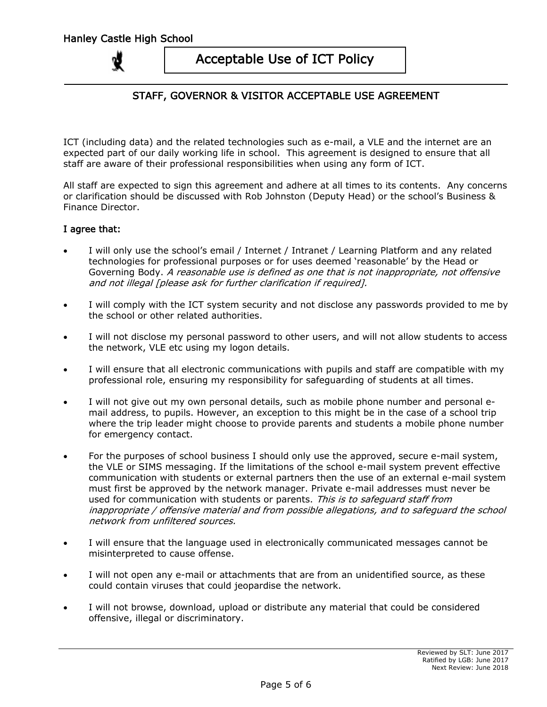## STAFF, GOVERNOR & VISITOR ACCEPTABLE USE AGREEMENT

ICT (including data) and the related technologies such as e-mail, a VLE and the internet are an expected part of our daily working life in school. This agreement is designed to ensure that all staff are aware of their professional responsibilities when using any form of ICT.

All staff are expected to sign this agreement and adhere at all times to its contents. Any concerns or clarification should be discussed with Rob Johnston (Deputy Head) or the school's Business & Finance Director.

#### I agree that:

- I will only use the school's email / Internet / Intranet / Learning Platform and any related technologies for professional purposes or for uses deemed 'reasonable' by the Head or Governing Body. A reasonable use is defined as one that is not inappropriate, not offensive and not illegal [please ask for further clarification if required].
- I will comply with the ICT system security and not disclose any passwords provided to me by the school or other related authorities.
- I will not disclose my personal password to other users, and will not allow students to access the network, VLE etc using my logon details.
- I will ensure that all electronic communications with pupils and staff are compatible with my professional role, ensuring my responsibility for safeguarding of students at all times.
- I will not give out my own personal details, such as mobile phone number and personal email address, to pupils. However, an exception to this might be in the case of a school trip where the trip leader might choose to provide parents and students a mobile phone number for emergency contact.
- For the purposes of school business I should only use the approved, secure e-mail system, the VLE or SIMS messaging. If the limitations of the school e-mail system prevent effective communication with students or external partners then the use of an external e-mail system must first be approved by the network manager. Private e-mail addresses must never be used for communication with students or parents. This is to safeguard staff from inappropriate / offensive material and from possible allegations, and to safeguard the school network from unfiltered sources.
- I will ensure that the language used in electronically communicated messages cannot be misinterpreted to cause offense.
- I will not open any e-mail or attachments that are from an unidentified source, as these could contain viruses that could jeopardise the network.
- I will not browse, download, upload or distribute any material that could be considered offensive, illegal or discriminatory.